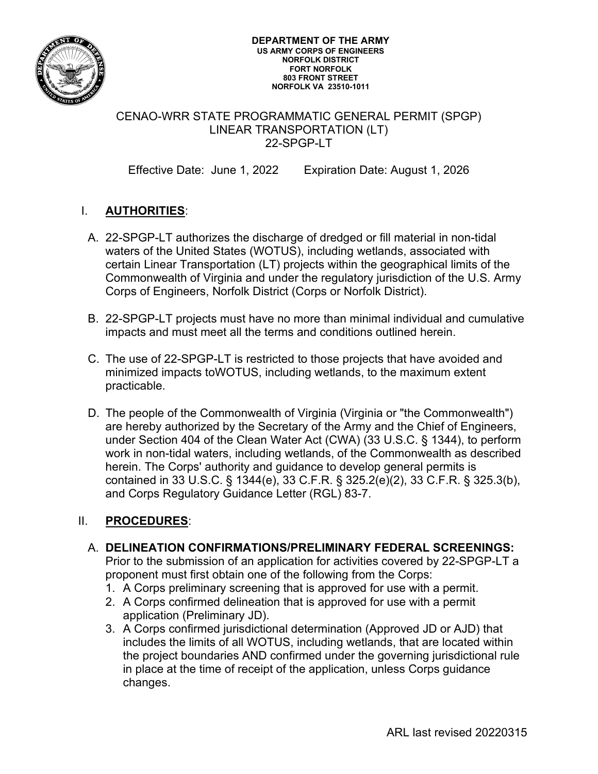

#### **DEPARTMENT OF THE ARMY US ARMY CORPS OF ENGINEERS NORFOLK DISTRICT FORT NORFOLK 803 FRONT STREET NORFOLK VA 23510-1011**

### CENAO-WRR STATE PROGRAMMATIC GENERAL PERMIT (SPGP) LINEAR TRANSPORTATION (LT) 22-SPGP-LT

Effective Date: June 1, 2022 Expiration Date: August 1, 2026

# I. **AUTHORITIES**:

- A. 22-SPGP-LT authorizes the discharge of dredged or fill material in non-tidal waters of the United States (WOTUS), including wetlands, associated with certain Linear Transportation (LT) projects within the geographical limits of the Commonwealth of Virginia and under the regulatory jurisdiction of the U.S. Army Corps of Engineers, Norfolk District (Corps or Norfolk District).
- B. 22-SPGP-LT projects must have no more than minimal individual and cumulative impacts and must meet all the terms and conditions outlined herein.
- C. The use of 22-SPGP-LT is restricted to those projects that have avoided and minimized impacts toWOTUS, including wetlands, to the maximum extent practicable.
- D. The people of the Commonwealth of Virginia (Virginia or "the Commonwealth") are hereby authorized by the Secretary of the Army and the Chief of Engineers, under Section 404 of the Clean Water Act (CWA) (33 U.S.C. § 1344), to perform work in non-tidal waters, including wetlands, of the Commonwealth as described herein. The Corps' authority and guidance to develop general permits is contained in 33 U.S.C. § 1344(e), 33 C.F.R. § 325.2(e)(2), 33 C.F.R. § 325.3(b), and Corps Regulatory Guidance Letter (RGL) 83-7.

## II. **PROCEDURES**:

- A. **DELINEATION CONFIRMATIONS/PRELIMINARY FEDERAL SCREENINGS:**  Prior to the submission of an application for activities covered by 22-SPGP-LT a proponent must first obtain one of the following from the Corps:
	- 1. A Corps preliminary screening that is approved for use with a permit.
	- 2. A Corps confirmed delineation that is approved for use with a permit application (Preliminary JD).
	- 3. A Corps confirmed jurisdictional determination (Approved JD or AJD) that includes the limits of all WOTUS, including wetlands, that are located within the project boundaries AND confirmed under the governing jurisdictional rule in place at the time of receipt of the application, unless Corps guidance changes.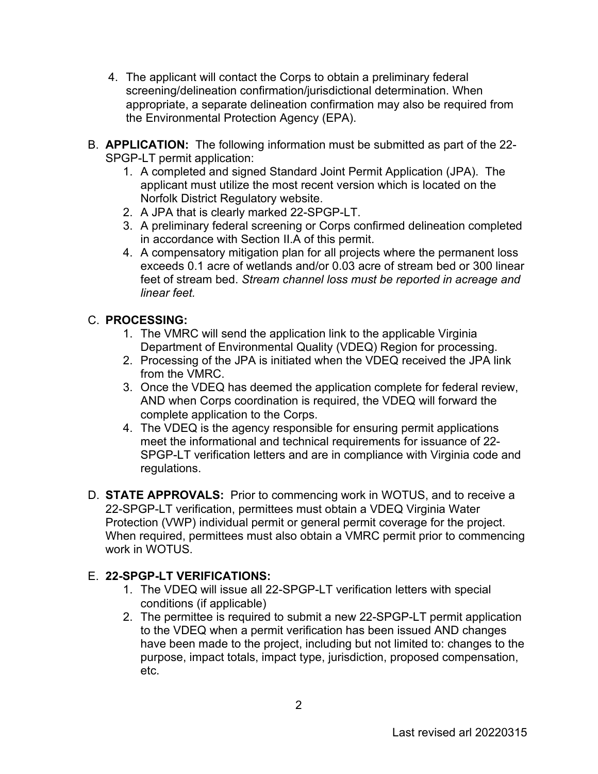- 4. The applicant will contact the Corps to obtain a preliminary federal screening/delineation confirmation/jurisdictional determination. When appropriate, a separate delineation confirmation may also be required from the Environmental Protection Agency (EPA).
- B. **APPLICATION:** The following information must be submitted as part of the 22- SPGP-LT permit application:
	- 1. A completed and signed Standard Joint Permit Application (JPA). The applicant must utilize the most recent version which is located on the Norfolk District Regulatory website.
	- 2. A JPA that is clearly marked 22-SPGP-LT.
	- 3. A preliminary federal screening or Corps confirmed delineation completed in accordance with Section II.A of this permit.
	- 4. A compensatory mitigation plan for all projects where the permanent loss exceeds 0.1 acre of wetlands and/or 0.03 acre of stream bed or 300 linear feet of stream bed. *Stream channel loss must be reported in acreage and linear feet.*

## C. **PROCESSING:**

- 1. The VMRC will send the application link to the applicable Virginia Department of Environmental Quality (VDEQ) Region for processing.
- 2. Processing of the JPA is initiated when the VDEQ received the JPA link from the VMRC.
- 3. Once the VDEQ has deemed the application complete for federal review, AND when Corps coordination is required, the VDEQ will forward the complete application to the Corps.
- 4. The VDEQ is the agency responsible for ensuring permit applications meet the informational and technical requirements for issuance of 22- SPGP-LT verification letters and are in compliance with Virginia code and regulations.
- D. **STATE APPROVALS:** Prior to commencing work in WOTUS, and to receive a 22-SPGP-LT verification, permittees must obtain a VDEQ Virginia Water Protection (VWP) individual permit or general permit coverage for the project. When required, permittees must also obtain a VMRC permit prior to commencing work in WOTUS.

## E. **22-SPGP-LT VERIFICATIONS:**

- 1. The VDEQ will issue all 22-SPGP-LT verification letters with special conditions (if applicable)
- 2. The permittee is required to submit a new 22-SPGP-LT permit application to the VDEQ when a permit verification has been issued AND changes have been made to the project, including but not limited to: changes to the purpose, impact totals, impact type, jurisdiction, proposed compensation, etc.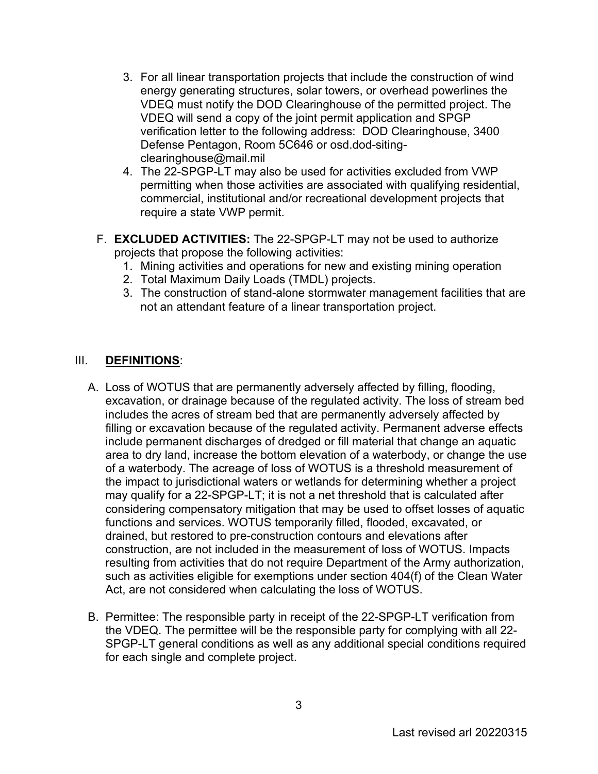- 3. For all linear transportation projects that include the construction of wind energy generating structures, solar towers, or overhead powerlines the VDEQ must notify the DOD Clearinghouse of the permitted project. The VDEQ will send a copy of the joint permit application and SPGP verification letter to the following address: [DOD](mailto:DoD) Clearinghouse, 3400 Defense Pentagon, Room 5C646 or osd.dod-siting[clearinghouse@mail.mil](mailto:clearinghouse@mail.mil)
- 4. The 22-SPGP-LT may also be used for activities excluded from VWP permitting when those activities are associated with qualifying residential, commercial, institutional and/or recreational development projects that require a state VWP permit.
- F. **EXCLUDED ACTIVITIES:** The 22-SPGP-LT may not be used to authorize projects that propose the following activities:
	- 1. Mining activities and operations for new and existing mining operation
	- 2. Total Maximum Daily Loads (TMDL) projects.
	- 3. The construction of stand-alone stormwater management facilities that are not an attendant feature of a linear transportation project.

### III. **DEFINITIONS**:

- A. Loss of WOTUS that are permanently adversely affected by filling, flooding, excavation, or drainage because of the regulated activity. The loss of stream bed includes the acres of stream bed that are permanently adversely affected by filling or excavation because of the regulated activity. Permanent adverse effects include permanent discharges of dredged or fill material that change an aquatic area to dry land, increase the bottom elevation of a waterbody, or change the use of a waterbody. The acreage of loss of WOTUS is a threshold measurement of the impact to jurisdictional waters or wetlands for determining whether a project may qualify for a 22-SPGP-LT; it is not a net threshold that is calculated after considering compensatory mitigation that may be used to offset losses of aquatic functions and services. WOTUS temporarily filled, flooded, excavated, or drained, but restored to pre-construction contours and elevations after construction, are not included in the measurement of loss of WOTUS. Impacts resulting from activities that do not require Department of the Army authorization, such as activities eligible for exemptions under section 404(f) of the Clean Water Act, are not considered when calculating the loss of WOTUS.
- B. Permittee: The responsible party in receipt of the 22-SPGP-LT verification from the VDEQ. The permittee will be the responsible party for complying with all 22- SPGP-LT general conditions as well as any additional special conditions required for each single and complete project.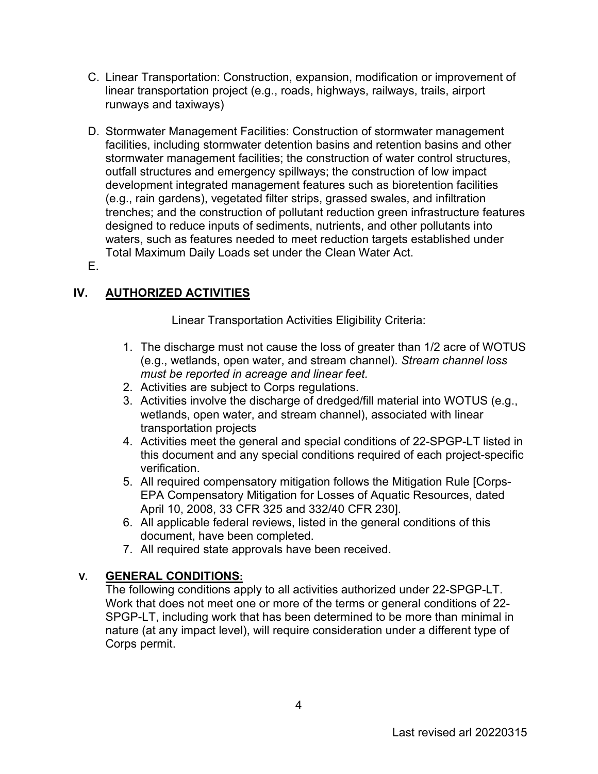- C. Linear Transportation: Construction, expansion, modification or improvement of linear transportation project (e.g., roads, highways, railways, trails, airport runways and taxiways)
- D. Stormwater Management Facilities: Construction of stormwater management facilities, including stormwater detention basins and retention basins and other stormwater management facilities; the construction of water control structures, outfall structures and emergency spillways; the construction of low impact development integrated management features such as bioretention facilities (e.g., rain gardens), vegetated filter strips, grassed swales, and infiltration trenches; and the construction of pollutant reduction green infrastructure features designed to reduce inputs of sediments, nutrients, and other pollutants into waters, such as features needed to meet reduction targets established under Total Maximum Daily Loads set under the Clean Water Act.
- E.

# **IV. AUTHORIZED ACTIVITIES**

Linear Transportation Activities Eligibility Criteria:

- 1. The discharge must not cause the loss of greater than 1/2 acre of WOTUS (e.g., wetlands, open water, and stream channel). *Stream channel loss must be reported in acreage and linear feet.*
- 2. Activities are subject to Corps regulations.
- 3. Activities involve the discharge of dredged/fill material into WOTUS (e.g., wetlands, open water, and stream channel), associated with linear transportation projects
- 4. Activities meet the general and special conditions of 22-SPGP-LT listed in this document and any special conditions required of each project-specific verification.
- 5. All required compensatory mitigation follows the Mitigation Rule [Corps-EPA Compensatory Mitigation for Losses of Aquatic Resources, dated April 10, 2008, 33 CFR 325 and 332/40 CFR 230].
- 6. All applicable federal reviews, listed in the general conditions of this document, have been completed.
- 7. All required state approvals have been received.

## **V. GENERAL CONDITIONS:**

The following conditions apply to all activities authorized under 22-SPGP-LT. Work that does not meet one or more of the terms or general conditions of 22- SPGP-LT, including work that has been determined to be more than minimal in nature (at any impact level), will require consideration under a different type of Corps permit.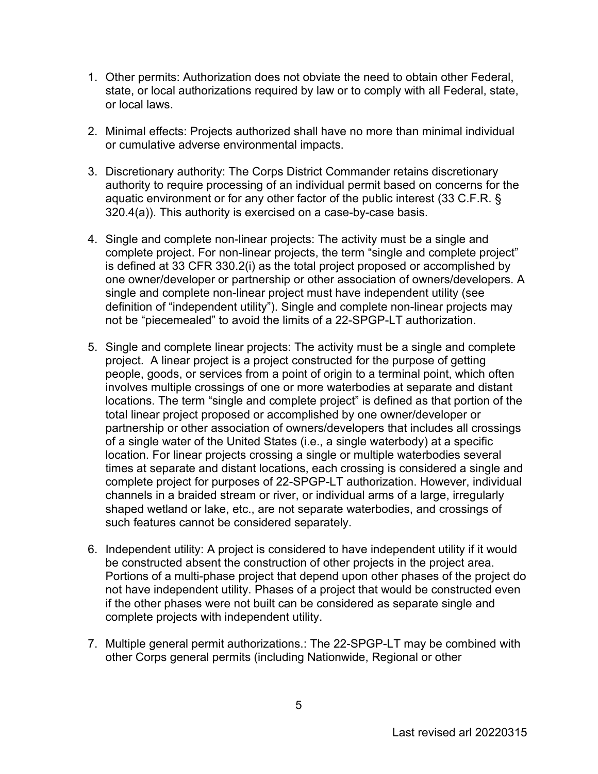- 1. Other permits: Authorization does not obviate the need to obtain other Federal, state, or local authorizations required by law or to comply with all Federal, state, or local laws.
- 2. Minimal effects: Projects authorized shall have no more than minimal individual or cumulative adverse environmental impacts.
- 3. Discretionary authority: The Corps District Commander retains discretionary authority to require processing of an individual permit based on concerns for the aquatic environment or for any other factor of the public interest (33 C.F.R. § 320.4(a)). This authority is exercised on a case-by-case basis.
- 4. Single and complete non-linear projects: The activity must be a single and complete project. For non-linear projects, the term "single and complete project" is defined at 33 CFR 330.2(i) as the total project proposed or accomplished by one owner/developer or partnership or other association of owners/developers. A single and complete non-linear project must have independent utility (see definition of "independent utility"). Single and complete non-linear projects may not be "piecemealed" to avoid the limits of a 22-SPGP-LT authorization.
- 5. Single and complete linear projects: The activity must be a single and complete project. A linear project is a project constructed for the purpose of getting people, goods, or services from a point of origin to a terminal point, which often involves multiple crossings of one or more waterbodies at separate and distant locations. The term "single and complete project" is defined as that portion of the total linear project proposed or accomplished by one owner/developer or partnership or other association of owners/developers that includes all crossings of a single water of the United States (i.e., a single waterbody) at a specific location. For linear projects crossing a single or multiple waterbodies several times at separate and distant locations, each crossing is considered a single and complete project for purposes of 22-SPGP-LT authorization. However, individual channels in a braided stream or river, or individual arms of a large, irregularly shaped wetland or lake, etc., are not separate waterbodies, and crossings of such features cannot be considered separately.
- 6. Independent utility: A project is considered to have independent utility if it would be constructed absent the construction of other projects in the project area. Portions of a multi-phase project that depend upon other phases of the project do not have independent utility. Phases of a project that would be constructed even if the other phases were not built can be considered as separate single and complete projects with independent utility.
- 7. Multiple general permit authorizations.: The 22-SPGP-LT may be combined with other Corps general permits (including Nationwide, Regional or other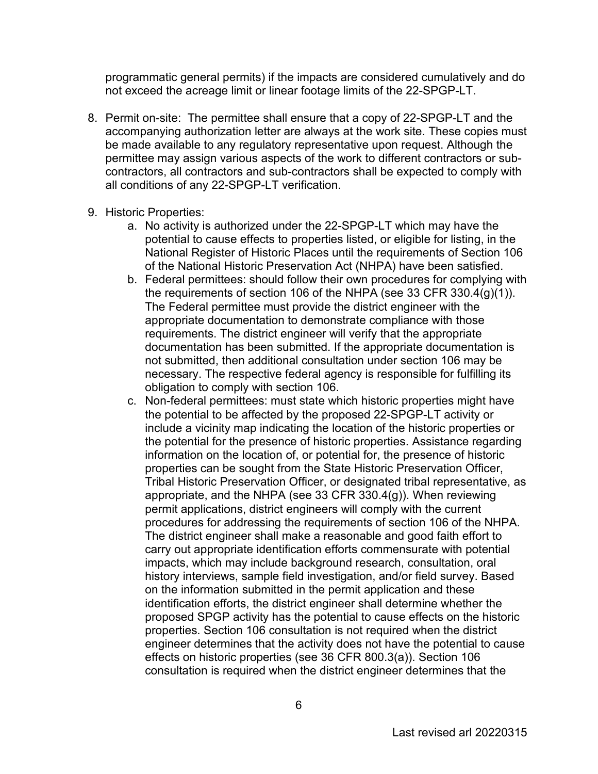programmatic general permits) if the impacts are considered cumulatively and do not exceed the acreage limit or linear footage limits of the 22-SPGP-LT.

- 8. Permit on-site: The permittee shall ensure that a copy of 22-SPGP-LT and the accompanying authorization letter are always at the work site. These copies must be made available to any regulatory representative upon request. Although the permittee may assign various aspects of the work to different contractors or subcontractors, all contractors and sub-contractors shall be expected to comply with all conditions of any 22-SPGP-LT verification.
- 9. Historic Properties:
	- a. No activity is authorized under the 22-SPGP-LT which may have the potential to cause effects to properties listed, or eligible for listing, in the National Register of Historic Places until the requirements of Section 106 of the National Historic Preservation Act (NHPA) have been satisfied.
	- b. Federal permittees: should follow their own procedures for complying with the requirements of section 106 of the NHPA (see 33 CFR 330.4(g)(1)). The Federal permittee must provide the district engineer with the appropriate documentation to demonstrate compliance with those requirements. The district engineer will verify that the appropriate documentation has been submitted. If the appropriate documentation is not submitted, then additional consultation under section 106 may be necessary. The respective federal agency is responsible for fulfilling its obligation to comply with section 106.
	- c. Non-federal permittees: must state which historic properties might have the potential to be affected by the proposed 22-SPGP-LT activity or include a vicinity map indicating the location of the historic properties or the potential for the presence of historic properties. Assistance regarding information on the location of, or potential for, the presence of historic properties can be sought from the State Historic Preservation Officer, Tribal Historic Preservation Officer, or designated tribal representative, as appropriate, and the NHPA (see 33 CFR 330.4(g)). When reviewing permit applications, district engineers will comply with the current procedures for addressing the requirements of section 106 of the NHPA. The district engineer shall make a reasonable and good faith effort to carry out appropriate identification efforts commensurate with potential impacts, which may include background research, consultation, oral history interviews, sample field investigation, and/or field survey. Based on the information submitted in the permit application and these identification efforts, the district engineer shall determine whether the proposed SPGP activity has the potential to cause effects on the historic properties. Section 106 consultation is not required when the district engineer determines that the activity does not have the potential to cause effects on historic properties (see 36 CFR 800.3(a)). Section 106 consultation is required when the district engineer determines that the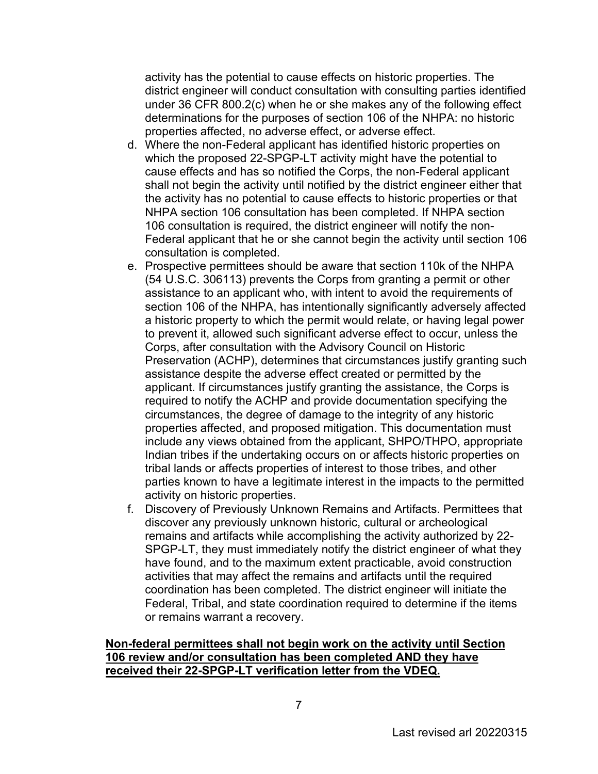activity has the potential to cause effects on historic properties. The district engineer will conduct consultation with consulting parties identified under 36 CFR 800.2(c) when he or she makes any of the following effect determinations for the purposes of section 106 of the NHPA: no historic properties affected, no adverse effect, or adverse effect.

- d. Where the non-Federal applicant has identified historic properties on which the proposed 22-SPGP-LT activity might have the potential to cause effects and has so notified the Corps, the non-Federal applicant shall not begin the activity until notified by the district engineer either that the activity has no potential to cause effects to historic properties or that NHPA section 106 consultation has been completed. If NHPA section 106 consultation is required, the district engineer will notify the non-Federal applicant that he or she cannot begin the activity until section 106 consultation is completed.
- e. Prospective permittees should be aware that section 110k of the NHPA (54 U.S.C. 306113) prevents the Corps from granting a permit or other assistance to an applicant who, with intent to avoid the requirements of section 106 of the NHPA, has intentionally significantly adversely affected a historic property to which the permit would relate, or having legal power to prevent it, allowed such significant adverse effect to occur, unless the Corps, after consultation with the Advisory Council on Historic Preservation (ACHP), determines that circumstances justify granting such assistance despite the adverse effect created or permitted by the applicant. If circumstances justify granting the assistance, the Corps is required to notify the ACHP and provide documentation specifying the circumstances, the degree of damage to the integrity of any historic properties affected, and proposed mitigation. This documentation must include any views obtained from the applicant, SHPO/THPO, appropriate Indian tribes if the undertaking occurs on or affects historic properties on tribal lands or affects properties of interest to those tribes, and other parties known to have a legitimate interest in the impacts to the permitted activity on historic properties.
- f. Discovery of Previously Unknown Remains and Artifacts. Permittees that discover any previously unknown historic, cultural or archeological remains and artifacts while accomplishing the activity authorized by 22- SPGP-LT, they must immediately notify the district engineer of what they have found, and to the maximum extent practicable, avoid construction activities that may affect the remains and artifacts until the required coordination has been completed. The district engineer will initiate the Federal, Tribal, and state coordination required to determine if the items or remains warrant a recovery.

#### **Non-federal permittees shall not begin work on the activity until Section 106 review and/or consultation has been completed AND they have received their 22-SPGP-LT verification letter from the VDEQ.**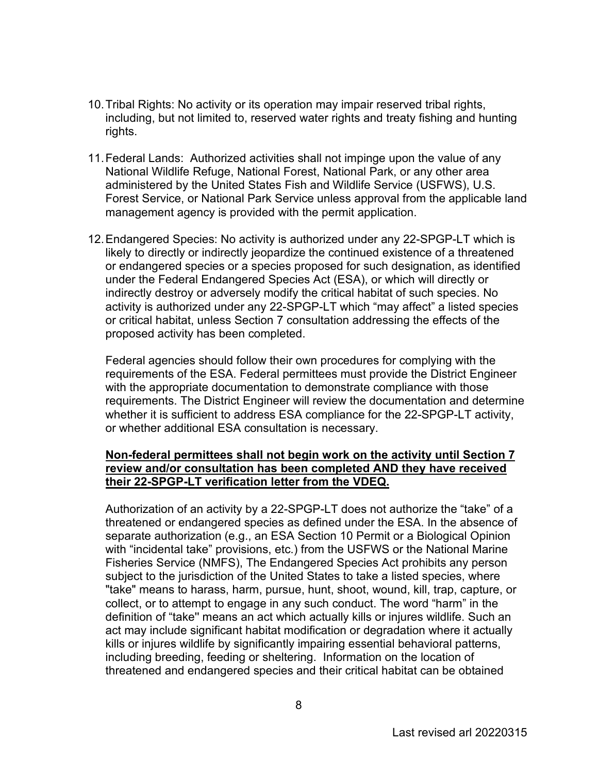- 10.Tribal Rights: No activity or its operation may impair reserved tribal rights, including, but not limited to, reserved water rights and treaty fishing and hunting rights.
- 11.Federal Lands: Authorized activities shall not impinge upon the value of any National Wildlife Refuge, National Forest, National Park, or any other area administered by the United States Fish and Wildlife Service (USFWS), U.S. Forest Service, or National Park Service unless approval from the applicable land management agency is provided with the permit application.
- 12.Endangered Species: No activity is authorized under any 22-SPGP-LT which is likely to directly or indirectly jeopardize the continued existence of a threatened or endangered species or a species proposed for such designation, as identified under the Federal Endangered Species Act (ESA), or which will directly or indirectly destroy or adversely modify the critical habitat of such species. No activity is authorized under any 22-SPGP-LT which "may affect" a listed species or critical habitat, unless Section 7 consultation addressing the effects of the proposed activity has been completed.

Federal agencies should follow their own procedures for complying with the requirements of the ESA. Federal permittees must provide the District Engineer with the appropriate documentation to demonstrate compliance with those requirements. The District Engineer will review the documentation and determine whether it is sufficient to address ESA compliance for the 22-SPGP-LT activity, or whether additional ESA consultation is necessary.

#### **Non-federal permittees shall not begin work on the activity until Section 7 review and/or consultation has been completed AND they have received their 22-SPGP-LT verification letter from the VDEQ.**

Authorization of an activity by a 22-SPGP-LT does not authorize the "take" of a threatened or endangered species as defined under the ESA. In the absence of separate authorization (e.g., an ESA Section 10 Permit or a Biological Opinion with "incidental take" provisions, etc.) from the USFWS or the National Marine Fisheries Service (NMFS), The Endangered Species Act prohibits any person subject to the jurisdiction of the United States to take a listed species, where "take" means to harass, harm, pursue, hunt, shoot, wound, kill, trap, capture, or collect, or to attempt to engage in any such conduct. The word "harm" in the definition of "take'' means an act which actually kills or injures wildlife. Such an act may include significant habitat modification or degradation where it actually kills or injures wildlife by significantly impairing essential behavioral patterns, including breeding, feeding or sheltering. Information on the location of threatened and endangered species and their critical habitat can be obtained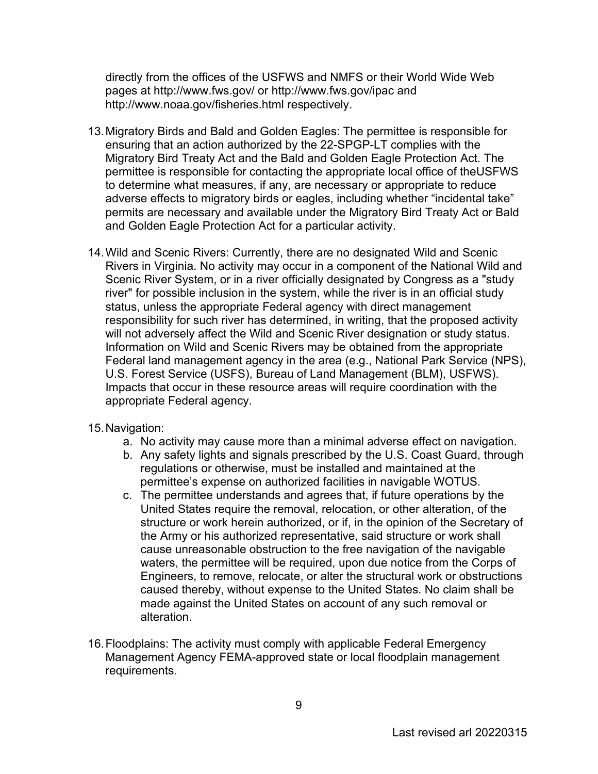directly from the offices of the USFWS and NMFS or their World Wide Web pages at http://www.fws.gov/ or<http://www.fws.gov/ipac>and <http://www.noaa.gov/fisheries.html>respectively.

- 13.Migratory Birds and Bald and Golden Eagles: The permittee is responsible for ensuring that an action authorized by the 22-SPGP-LT complies with the Migratory Bird Treaty Act and the Bald and Golden Eagle Protection Act. The permittee is responsible for contacting the appropriate local office of theUSFWS to determine what measures, if any, are necessary or appropriate to reduce adverse effects to migratory birds or eagles, including whether "incidental take" permits are necessary and available under the Migratory Bird Treaty Act or Bald and Golden Eagle Protection Act for a particular activity.
- 14.Wild and Scenic Rivers: Currently, there are no designated Wild and Scenic Rivers in Virginia. No activity may occur in a component of the National Wild and Scenic River System, or in a river officially designated by Congress as a "study river" for possible inclusion in the system, while the river is in an official study status, unless the appropriate Federal agency with direct management responsibility for such river has determined, in writing, that the proposed activity will not adversely affect the Wild and Scenic River designation or study status. Information on Wild and Scenic Rivers may be obtained from the appropriate Federal land management agency in the area (e.g., National Park Service (NPS), U.S. Forest Service (USFS), Bureau of Land Management (BLM), USFWS). Impacts that occur in these resource areas will require coordination with the appropriate Federal agency.
- 15.Navigation:
	- a. No activity may cause more than a minimal adverse effect on navigation.
	- b. Any safety lights and signals prescribed by the U.S. Coast Guard, through regulations or otherwise, must be installed and maintained at the permittee's expense on authorized facilities in navigable WOTUS.
	- c. The permittee understands and agrees that, if future operations by the United States require the removal, relocation, or other alteration, of the structure or work herein authorized, or if, in the opinion of the Secretary of the Army or his authorized representative, said structure or work shall cause unreasonable obstruction to the free navigation of the navigable waters, the permittee will be required, upon due notice from the Corps of Engineers, to remove, relocate, or alter the structural work or obstructions caused thereby, without expense to the United States. No claim shall be made against the United States on account of any such removal or alteration.
- 16.Floodplains: The activity must comply with applicable Federal Emergency Management Agency FEMA-approved state or local floodplain management requirements.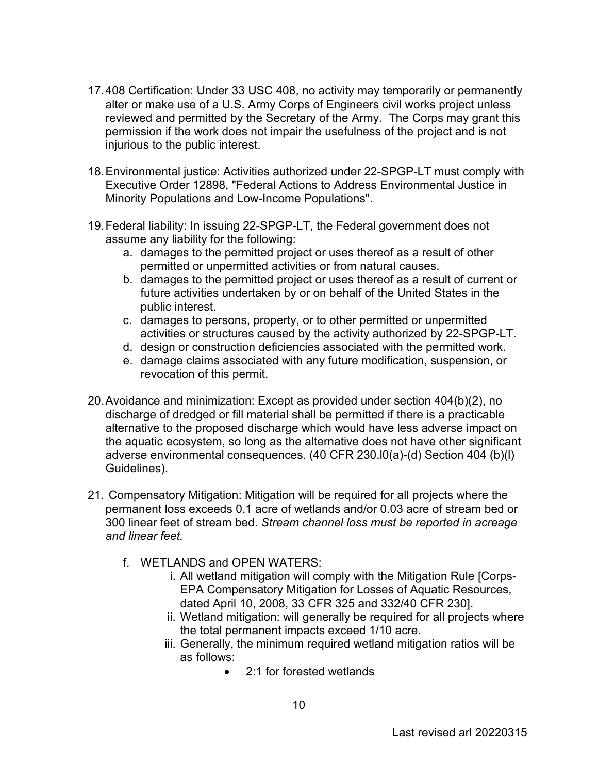- 17.408 Certification: Under 33 USC 408, no activity may temporarily or permanently alter or make use of a U.S. Army Corps of Engineers civil works project unless reviewed and permitted by the Secretary of the Army. The Corps may grant this permission if the work does not impair the usefulness of the project and is not injurious to the public interest.
- 18.Environmental justice: Activities authorized under 22-SPGP-LT must comply with Executive Order 12898, "Federal Actions to Address Environmental Justice in Minority Populations and Low-Income Populations".
- 19.Federal liability: In issuing 22-SPGP-LT, the Federal government does not assume any liability for the following:
	- a. damages to the permitted project or uses thereof as a result of other permitted or unpermitted activities or from natural causes.
	- b. damages to the permitted project or uses thereof as a result of current or future activities undertaken by or on behalf of the United States in the public interest.
	- c. damages to persons, property, or to other permitted or unpermitted activities or structures caused by the activity authorized by 22-SPGP-LT.
	- d. design or construction deficiencies associated with the permitted work.
	- e. damage claims associated with any future modification, suspension, or revocation of this permit.
- 20.Avoidance and minimization: Except as provided under section 404(b)(2), no discharge of dredged or fill material shall be permitted if there is a practicable alternative to the proposed discharge which would have less adverse impact on the aquatic ecosystem, so long as the alternative does not have other significant adverse environmental consequences. (40 CFR 230.l0(a)-(d) Section 404 (b)(l) Guidelines).
- 21. Compensatory Mitigation: Mitigation will be required for all projects where the permanent loss exceeds 0.1 acre of wetlands and/or 0.03 acre of stream bed or 300 linear feet of stream bed. *Stream channel loss must be reported in acreage and linear feet.* 
	- f. WETLANDS and OPEN WATERS:
		- i. All wetland mitigation will comply with the Mitigation Rule [Corps-EPA Compensatory Mitigation for Losses of Aquatic Resources, dated April 10, 2008, 33 CFR 325 and 332/40 CFR 230].
		- ii. Wetland mitigation: will generally be required for all projects where the total permanent impacts exceed 1/10 acre.
		- iii. Generally, the minimum required wetland mitigation ratios will be as follows:
			- 2:1 for forested wetlands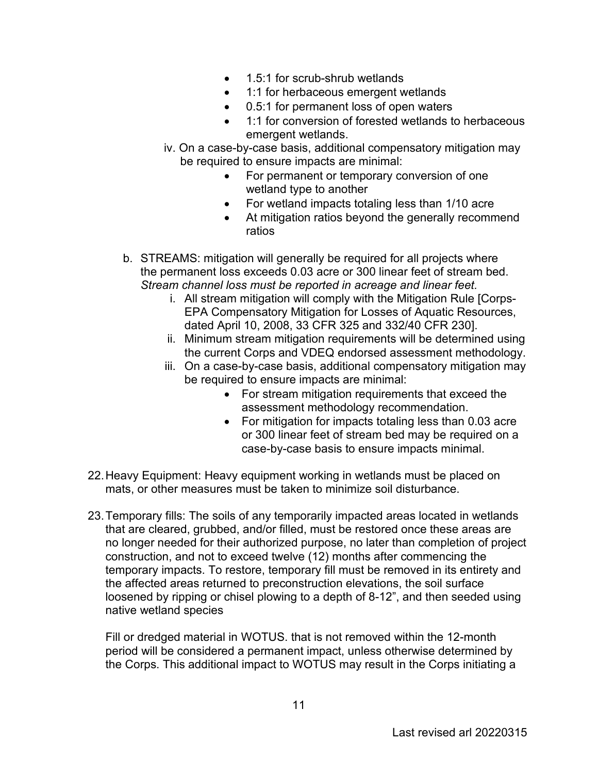- 1.5:1 for scrub-shrub wetlands
- 1:1 for herbaceous emergent wetlands
- 0.5:1 for permanent loss of open waters
- 1:1 for conversion of forested wetlands to herbaceous emergent wetlands.
- iv. On a case-by-case basis, additional compensatory mitigation may be required to ensure impacts are minimal:
	- For permanent or temporary conversion of one wetland type to another
	- For wetland impacts totaling less than 1/10 acre
	- At mitigation ratios beyond the generally recommend ratios
- b. STREAMS: mitigation will generally be required for all projects where the permanent loss exceeds 0.03 acre or 300 linear feet of stream bed. *Stream channel loss must be reported in acreage and linear feet.* 
	- i. All stream mitigation will comply with the Mitigation Rule [Corps-EPA Compensatory Mitigation for Losses of Aquatic Resources, dated April 10, 2008, 33 CFR 325 and 332/40 CFR 230].
	- ii. Minimum stream mitigation requirements will be determined using the current Corps and VDEQ endorsed assessment methodology.
	- iii. On a case-by-case basis, additional compensatory mitigation may be required to ensure impacts are minimal:
		- For stream mitigation requirements that exceed the assessment methodology recommendation.
		- For mitigation for impacts totaling less than 0.03 acre or 300 linear feet of stream bed may be required on a case-by-case basis to ensure impacts minimal.
- 22.Heavy Equipment: Heavy equipment working in wetlands must be placed on mats, or other measures must be taken to minimize soil disturbance.
- 23.Temporary fills: The soils of any temporarily impacted areas located in wetlands that are cleared, grubbed, and/or filled, must be restored once these areas are no longer needed for their authorized purpose, no later than completion of project construction, and not to exceed twelve (12) months after commencing the temporary impacts. To restore, temporary fill must be removed in its entirety and the affected areas returned to preconstruction elevations, the soil surface loosened by ripping or chisel plowing to a depth of 8-12", and then seeded using native wetland species

Fill or dredged material in WOTUS. that is not removed within the 12-month period will be considered a permanent impact, unless otherwise determined by the Corps. This additional impact to WOTUS may result in the Corps initiating a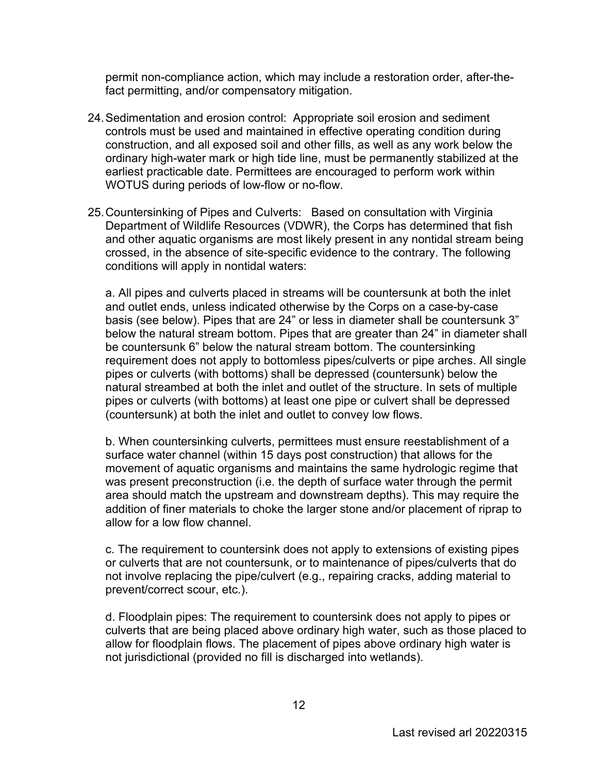permit non-compliance action, which may include a restoration order, after-thefact permitting, and/or compensatory mitigation.

- 24.Sedimentation and erosion control: Appropriate soil erosion and sediment controls must be used and maintained in effective operating condition during construction, and all exposed soil and other fills, as well as any work below the ordinary high-water mark or high tide line, must be permanently stabilized at the earliest practicable date. Permittees are encouraged to perform work within WOTUS during periods of low-flow or no-flow.
- 25.Countersinking of Pipes and Culverts: Based on consultation with Virginia Department of Wildlife Resources (VDWR), the Corps has determined that fish and other aquatic organisms are most likely present in any nontidal stream being crossed, in the absence of site-specific evidence to the contrary. The following conditions will apply in nontidal waters:

a. All pipes and culverts placed in streams will be countersunk at both the inlet and outlet ends, unless indicated otherwise by the Corps on a case-by-case basis (see below). Pipes that are 24" or less in diameter shall be countersunk 3" below the natural stream bottom. Pipes that are greater than 24" in diameter shall be countersunk 6" below the natural stream bottom. The countersinking requirement does not apply to bottomless pipes/culverts or pipe arches. All single pipes or culverts (with bottoms) shall be depressed (countersunk) below the natural streambed at both the inlet and outlet of the structure. In sets of multiple pipes or culverts (with bottoms) at least one pipe or culvert shall be depressed (countersunk) at both the inlet and outlet to convey low flows.

b. When countersinking culverts, permittees must ensure reestablishment of a surface water channel (within 15 days post construction) that allows for the movement of aquatic organisms and maintains the same hydrologic regime that was present preconstruction (i.e. the depth of surface water through the permit area should match the upstream and downstream depths). This may require the addition of finer materials to choke the larger stone and/or placement of riprap to allow for a low flow channel.

c. The requirement to countersink does not apply to extensions of existing pipes or culverts that are not countersunk, or to maintenance of pipes/culverts that do not involve replacing the pipe/culvert (e.g., repairing cracks, adding material to prevent/correct scour, etc.).

d. Floodplain pipes: The requirement to countersink does not apply to pipes or culverts that are being placed above ordinary high water, such as those placed to allow for floodplain flows. The placement of pipes above ordinary high water is not jurisdictional (provided no fill is discharged into wetlands).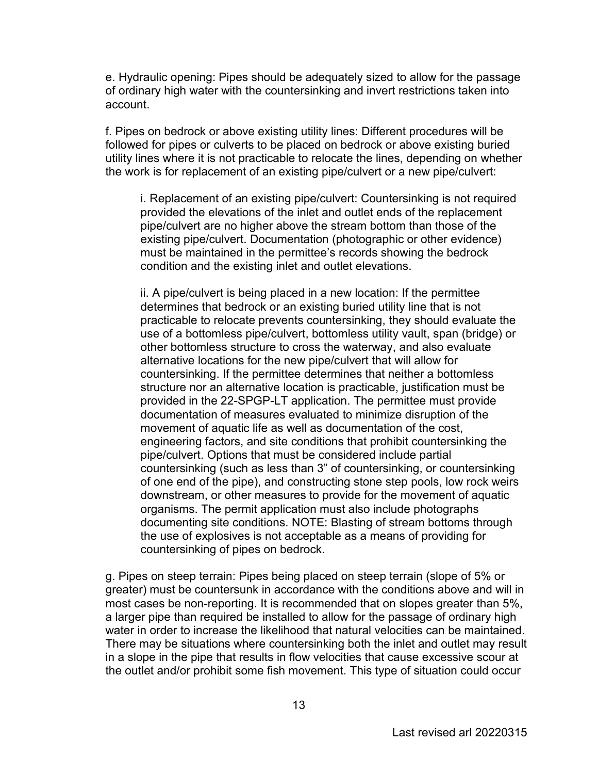e. Hydraulic opening: Pipes should be adequately sized to allow for the passage of ordinary high water with the countersinking and invert restrictions taken into account.

f. Pipes on bedrock or above existing utility lines: Different procedures will be followed for pipes or culverts to be placed on bedrock or above existing buried utility lines where it is not practicable to relocate the lines, depending on whether the work is for replacement of an existing pipe/culvert or a new pipe/culvert:

i. Replacement of an existing pipe/culvert: Countersinking is not required provided the elevations of the inlet and outlet ends of the replacement pipe/culvert are no higher above the stream bottom than those of the existing pipe/culvert. Documentation (photographic or other evidence) must be maintained in the permittee's records showing the bedrock condition and the existing inlet and outlet elevations.

ii. A pipe/culvert is being placed in a new location: If the permittee determines that bedrock or an existing buried utility line that is not practicable to relocate prevents countersinking, they should evaluate the use of a bottomless pipe/culvert, bottomless utility vault, span (bridge) or other bottomless structure to cross the waterway, and also evaluate alternative locations for the new pipe/culvert that will allow for countersinking. If the permittee determines that neither a bottomless structure nor an alternative location is practicable, justification must be provided in the 22-SPGP-LT application. The permittee must provide documentation of measures evaluated to minimize disruption of the movement of aquatic life as well as documentation of the cost, engineering factors, and site conditions that prohibit countersinking the pipe/culvert. Options that must be considered include partial countersinking (such as less than 3" of countersinking, or countersinking of one end of the pipe), and constructing stone step pools, low rock weirs downstream, or other measures to provide for the movement of aquatic organisms. The permit application must also include photographs documenting site conditions. NOTE: Blasting of stream bottoms through the use of explosives is not acceptable as a means of providing for countersinking of pipes on bedrock.

g. Pipes on steep terrain: Pipes being placed on steep terrain (slope of 5% or greater) must be countersunk in accordance with the conditions above and will in most cases be non-reporting. It is recommended that on slopes greater than 5%, a larger pipe than required be installed to allow for the passage of ordinary high water in order to increase the likelihood that natural velocities can be maintained. There may be situations where countersinking both the inlet and outlet may result in a slope in the pipe that results in flow velocities that cause excessive scour at the outlet and/or prohibit some fish movement. This type of situation could occur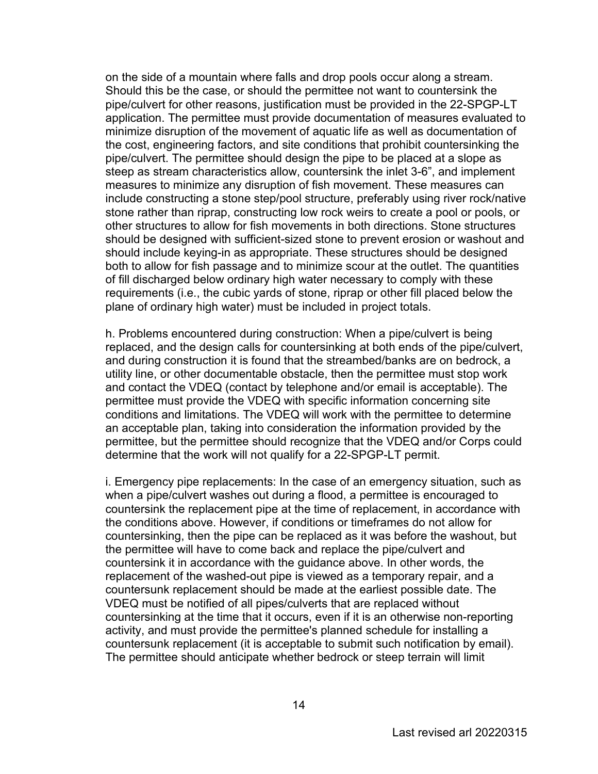on the side of a mountain where falls and drop pools occur along a stream. Should this be the case, or should the permittee not want to countersink the pipe/culvert for other reasons, justification must be provided in the 22-SPGP-LT application. The permittee must provide documentation of measures evaluated to minimize disruption of the movement of aquatic life as well as documentation of the cost, engineering factors, and site conditions that prohibit countersinking the pipe/culvert. The permittee should design the pipe to be placed at a slope as steep as stream characteristics allow, countersink the inlet 3-6", and implement measures to minimize any disruption of fish movement. These measures can include constructing a stone step/pool structure, preferably using river rock/native stone rather than riprap, constructing low rock weirs to create a pool or pools, or other structures to allow for fish movements in both directions. Stone structures should be designed with sufficient-sized stone to prevent erosion or washout and should include keying-in as appropriate. These structures should be designed both to allow for fish passage and to minimize scour at the outlet. The quantities of fill discharged below ordinary high water necessary to comply with these requirements (i.e., the cubic yards of stone, riprap or other fill placed below the plane of ordinary high water) must be included in project totals.

h. Problems encountered during construction: When a pipe/culvert is being replaced, and the design calls for countersinking at both ends of the pipe/culvert, and during construction it is found that the streambed/banks are on bedrock, a utility line, or other documentable obstacle, then the permittee must stop work and contact the VDEQ (contact by telephone and/or email is acceptable). The permittee must provide the VDEQ with specific information concerning site conditions and limitations. The VDEQ will work with the permittee to determine an acceptable plan, taking into consideration the information provided by the permittee, but the permittee should recognize that the VDEQ and/or Corps could determine that the work will not qualify for a 22-SPGP-LT permit.

i. Emergency pipe replacements: In the case of an emergency situation, such as when a pipe/culvert washes out during a flood, a permittee is encouraged to countersink the replacement pipe at the time of replacement, in accordance with the conditions above. However, if conditions or timeframes do not allow for countersinking, then the pipe can be replaced as it was before the washout, but the permittee will have to come back and replace the pipe/culvert and countersink it in accordance with the guidance above. In other words, the replacement of the washed-out pipe is viewed as a temporary repair, and a countersunk replacement should be made at the earliest possible date. The VDEQ must be notified of all pipes/culverts that are replaced without countersinking at the time that it occurs, even if it is an otherwise non-reporting activity, and must provide the permittee's planned schedule for installing a countersunk replacement (it is acceptable to submit such notification by email). The permittee should anticipate whether bedrock or steep terrain will limit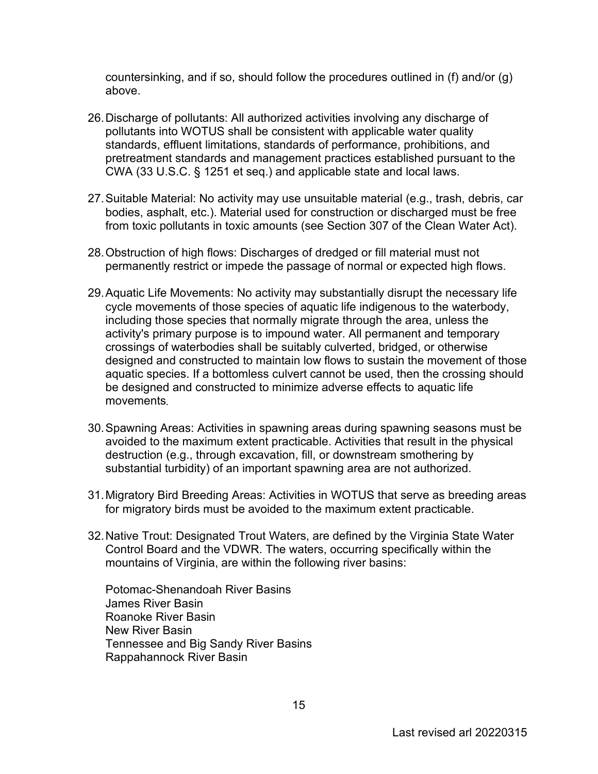countersinking, and if so, should follow the procedures outlined in (f) and/or (g) above.

- 26.Discharge of pollutants: All authorized activities involving any discharge of pollutants into WOTUS shall be consistent with applicable water quality standards, effluent limitations, standards of performance, prohibitions, and pretreatment standards and management practices established pursuant to the CWA (33 U.S.C. § 1251 et seq.) and applicable state and local laws.
- 27.Suitable Material: No activity may use unsuitable material (e.g., trash, debris, car bodies, asphalt, etc.). Material used for construction or discharged must be free from toxic pollutants in toxic amounts (see Section 307 of the Clean Water Act).
- 28.Obstruction of high flows: Discharges of dredged or fill material must not permanently restrict or impede the passage of normal or expected high flows.
- 29.Aquatic Life Movements: No activity may substantially disrupt the necessary life cycle movements of those species of aquatic life indigenous to the waterbody, including those species that normally migrate through the area, unless the activity's primary purpose is to impound water. All permanent and temporary crossings of waterbodies shall be suitably culverted, bridged, or otherwise designed and constructed to maintain low flows to sustain the movement of those aquatic species. If a bottomless culvert cannot be used, then the crossing should be designed and constructed to minimize adverse effects to aquatic life movements**.**
- 30.Spawning Areas: Activities in spawning areas during spawning seasons must be avoided to the maximum extent practicable. Activities that result in the physical destruction (e.g., through excavation, fill, or downstream smothering by substantial turbidity) of an important spawning area are not authorized.
- 31.Migratory Bird Breeding Areas: Activities in WOTUS that serve as breeding areas for migratory birds must be avoided to the maximum extent practicable.
- 32.Native Trout: Designated Trout Waters, are defined by the Virginia State Water Control Board and the VDWR. The waters, occurring specifically within the mountains of Virginia, are within the following river basins:

Potomac-Shenandoah River Basins James River Basin Roanoke River Basin New River Basin Tennessee and Big Sandy River Basins Rappahannock River Basin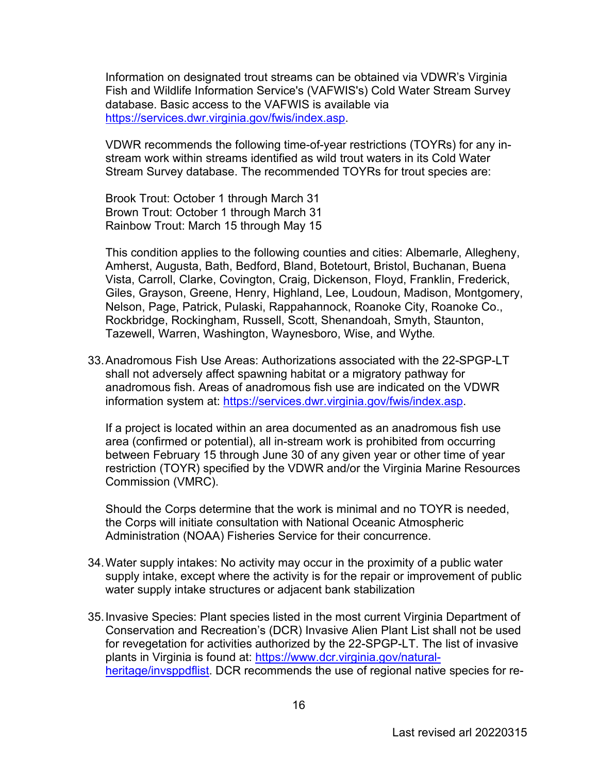Information on designated trout streams can be obtained via VDWR's Virginia Fish and Wildlife Information Service's (VAFWIS's) Cold Water Stream Survey database. Basic access to the VAFWIS is available via [https://services.dwr.virginia.gov/fwis/index.asp.](https://services.dwr.virginia.gov/fwis/index.asp)

VDWR recommends the following time-of-year restrictions (TOYRs) for any instream work within streams identified as wild trout waters in its Cold Water Stream Survey database. The recommended TOYRs for trout species are:

Brook Trout: October 1 through March 31 Brown Trout: October 1 through March 31 Rainbow Trout: March 15 through May 15

This condition applies to the following counties and cities: Albemarle, Allegheny, Amherst, Augusta, Bath, Bedford, Bland, Botetourt, Bristol, Buchanan, Buena Vista, Carroll, Clarke, Covington, Craig, Dickenson, Floyd, Franklin, Frederick, Giles, Grayson, Greene, Henry, Highland, Lee, Loudoun, Madison, Montgomery, Nelson, Page, Patrick, Pulaski, Rappahannock, Roanoke City, Roanoke Co., Rockbridge, Rockingham, Russell, Scott, Shenandoah, Smyth, Staunton, Tazewell, Warren, Washington, Waynesboro, Wise, and Wythe**.** 

33.Anadromous Fish Use Areas: Authorizations associated with the 22-SPGP-LT shall not adversely affect spawning habitat or a migratory pathway for anadromous fish. Areas of anadromous fish use are indicated on the VDWR information system at: [https://services.dwr.virginia.gov/fwis/index.asp.](https://services.dwr.virginia.gov/fwis/index.asp)

If a project is located within an area documented as an anadromous fish use area (confirmed or potential), all in-stream work is prohibited from occurring between February 15 through June 30 of any given year or other time of year restriction (TOYR) specified by the VDWR and/or the Virginia Marine Resources Commission (VMRC).

Should the Corps determine that the work is minimal and no TOYR is needed, the Corps will initiate consultation with National Oceanic Atmospheric Administration (NOAA) Fisheries Service for their concurrence.

- 34.Water supply intakes: No activity may occur in the proximity of a public water supply intake, except where the activity is for the repair or improvement of public water supply intake structures or adjacent bank stabilization
- 35.Invasive Species: Plant species listed in the most current Virginia Department of Conservation and Recreation's (DCR) Invasive Alien Plant List shall not be used for revegetation for activities authorized by the 22-SPGP-LT. The list of invasive plants in Virginia is found at: [https://www.dcr.virginia.gov/natural](https://www.dcr.virginia.gov/natural-heritage/invsppdflist)[heritage/invsppdflist.](https://www.dcr.virginia.gov/natural-heritage/invsppdflist) DCR recommends the use of regional native species for re-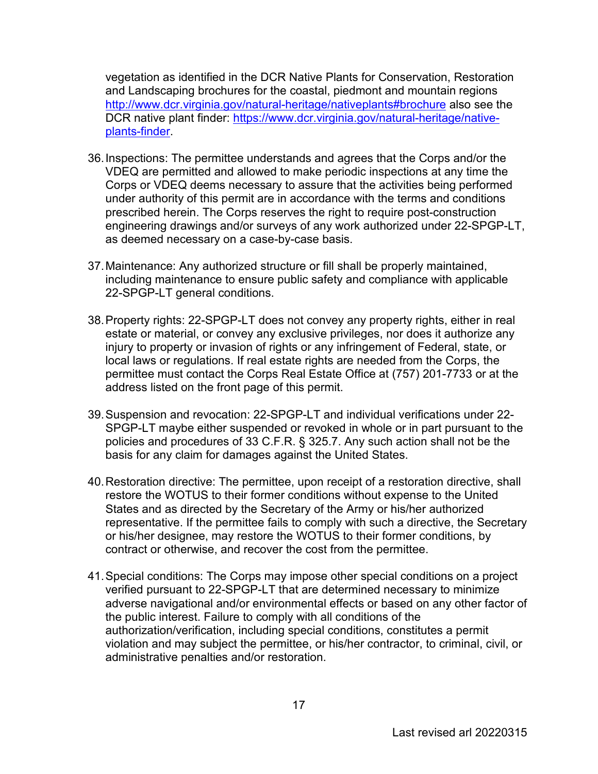vegetation as identified in the DCR Native Plants for Conservation, Restoration and Landscaping brochures for the coastal, piedmont and mountain regions [http://www.dcr.virginia.gov/natural-heritage/nativeplants#brochure](https://www.dcr.virginia.gov/natural-heritage/nativeplants#brochure) also see the DCR native plant finder: [https://www.dcr.virginia.gov/natural-heritage/native](https://www.dcr.virginia.gov/natural-heritage/native-plants-finder)[plants-finder.](https://www.dcr.virginia.gov/natural-heritage/native-plants-finder)

- 36.Inspections: The permittee understands and agrees that the Corps and/or the VDEQ are permitted and allowed to make periodic inspections at any time the Corps or VDEQ deems necessary to assure that the activities being performed under authority of this permit are in accordance with the terms and conditions prescribed herein. The Corps reserves the right to require post-construction engineering drawings and/or surveys of any work authorized under 22-SPGP-LT, as deemed necessary on a case-by-case basis.
- 37.Maintenance: Any authorized structure or fill shall be properly maintained, including maintenance to ensure public safety and compliance with applicable 22-SPGP-LT general conditions.
- 38.Property rights: 22-SPGP-LT does not convey any property rights, either in real estate or material, or convey any exclusive privileges, nor does it authorize any injury to property or invasion of rights or any infringement of Federal, state, or local laws or regulations. If real estate rights are needed from the Corps, the permittee must contact the Corps Real Estate Office at (757) 201-7733 or at the address listed on the front page of this permit.
- 39.Suspension and revocation: 22-SPGP-LT and individual verifications under 22- SPGP-LT maybe either suspended or revoked in whole or in part pursuant to the policies and procedures of 33 C.F.R. § 325.7. Any such action shall not be the basis for any claim for damages against the United States.
- 40.Restoration directive: The permittee, upon receipt of a restoration directive, shall restore the WOTUS to their former conditions without expense to the United States and as directed by the Secretary of the Army or his/her authorized representative. If the permittee fails to comply with such a directive, the Secretary or his/her designee, may restore the WOTUS to their former conditions, by contract or otherwise, and recover the cost from the permittee.
- 41.Special conditions: The Corps may impose other special conditions on a project verified pursuant to 22-SPGP-LT that are determined necessary to minimize adverse navigational and/or environmental effects or based on any other factor of the public interest. Failure to comply with all conditions of the authorization/verification, including special conditions, constitutes a permit violation and may subject the permittee, or his/her contractor, to criminal, civil, or administrative penalties and/or restoration.